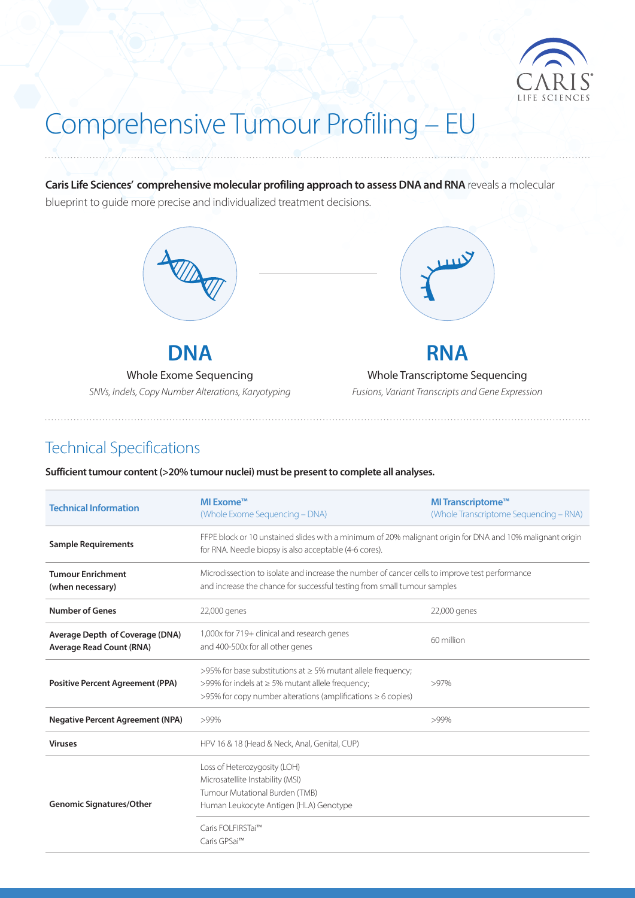

# Comprehensive Tumour Profiling – EU

**Caris Life Sciences' comprehensive molecular profiling approach to assess DNA and RNA** reveals a molecular blueprint to guide more precise and individualized treatment decisions.



**DNA**

Whole Exome Sequencing *SNVs, Indels, Copy Number Alterations, Karyotyping*



## **RNA**

Whole Transcriptome Sequencing

*Fusions, Variant Transcripts and Gene Expression* 

### Technical Specifications

**Sufficient tumour content (>20% tumour nuclei) must be present to complete all analyses.**

| <b>Technical Information</b>                                       | MI Exome™<br>(Whole Exome Sequencing – DNA)                                                                                                                                                        | MI Transcriptome <sup>™</sup><br>(Whole Transcriptome Sequencing – RNA) |  |  |  |  |
|--------------------------------------------------------------------|----------------------------------------------------------------------------------------------------------------------------------------------------------------------------------------------------|-------------------------------------------------------------------------|--|--|--|--|
| <b>Sample Requirements</b>                                         | FFPE block or 10 unstained slides with a minimum of 20% malignant origin for DNA and 10% malignant origin<br>for RNA. Needle biopsy is also acceptable (4-6 cores).                                |                                                                         |  |  |  |  |
| <b>Tumour Enrichment</b><br>(when necessary)                       | Microdissection to isolate and increase the number of cancer cells to improve test performance<br>and increase the chance for successful testing from small tumour samples                         |                                                                         |  |  |  |  |
| <b>Number of Genes</b>                                             | 22,000 genes                                                                                                                                                                                       | 22,000 genes                                                            |  |  |  |  |
| Average Depth of Coverage (DNA)<br><b>Average Read Count (RNA)</b> | 1,000x for 719+ clinical and research genes<br>and 400-500x for all other genes                                                                                                                    | 60 million                                                              |  |  |  |  |
| <b>Positive Percent Agreement (PPA)</b>                            | >95% for base substitutions at $\geq$ 5% mutant allele frequency;<br>>99% for indels at $\geq$ 5% mutant allele frequency;<br>$>95\%$ for copy number alterations (amplifications $\geq 6$ copies) | $>97\%$                                                                 |  |  |  |  |
| <b>Negative Percent Agreement (NPA)</b>                            | >99%                                                                                                                                                                                               | $>99\%$                                                                 |  |  |  |  |
| <b>Viruses</b>                                                     | HPV 16 & 18 (Head & Neck, Anal, Genital, CUP)                                                                                                                                                      |                                                                         |  |  |  |  |
| <b>Genomic Signatures/Other</b>                                    | Loss of Heterozygosity (LOH)<br>Microsatellite Instability (MSI)<br>Tumour Mutational Burden (TMB)<br>Human Leukocyte Antigen (HLA) Genotype                                                       |                                                                         |  |  |  |  |
|                                                                    | Caris FOLFIRSTai™<br>Caris GPSai™                                                                                                                                                                  |                                                                         |  |  |  |  |